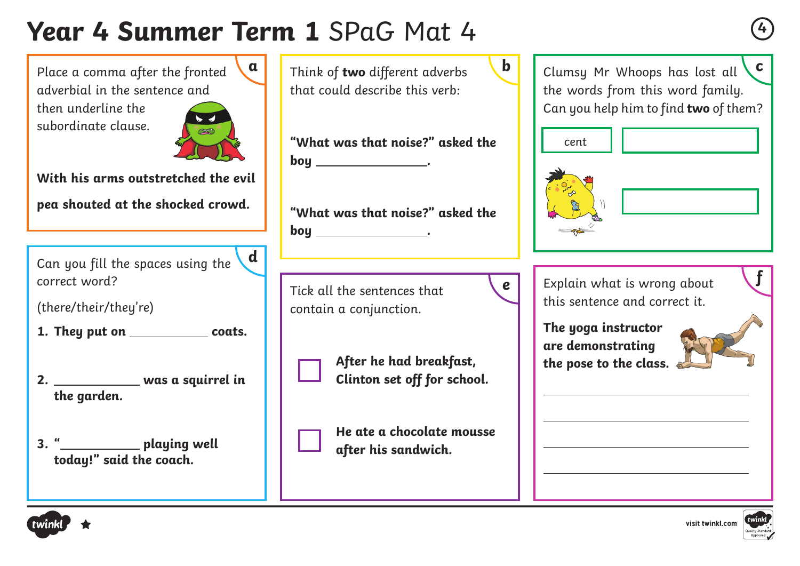# **Year 4 Summer Term 1** SPaG Mat 4 **<sup>4</sup>**

**a**

Place a comma after the fronted adverbial in the sentence and

then underline the subordinate clause.



**With his arms outstretched the evil pea shouted at the shocked crowd.**

**<sup>f</sup>** Can you fill the spaces using the correct word? **d**

(there/their/they're)

- **1.** They put on \_\_\_\_\_\_\_\_\_\_\_\_\_\_ coats.
- **2. was a squirrel in the garden.**
- **3. " playing well today!" said the coach.**

Think of **two** different adverbs that could describe this verb:

**"What was that noise?" asked the boy** \_\_\_\_\_\_\_\_\_\_\_\_\_\_\_\_\_\_\_\_\_\_.

**"What was that noise?" asked the boy .**

Tick all the sentences that contain a conjunction.



**After he had breakfast, Clinton set off for school.**

**He ate a chocolate mousse after his sandwich.**

Clumsy Mr Whoops has lost all the words from this word family. Can you help him to find **two** of them? **c**



**b**

**e**



Explain what is wrong about this sentence and correct it.

**The yoga instructor are demonstrating the pose to the class.**





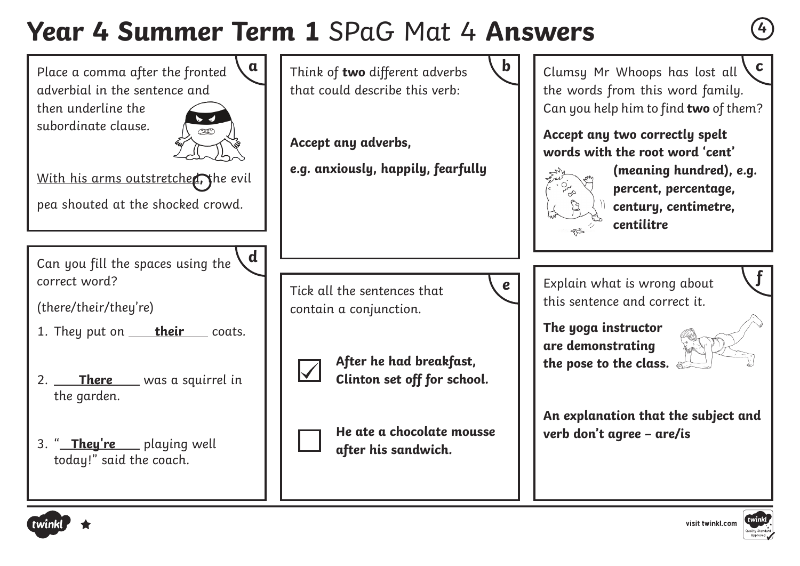# **Year 4 Summer Term 1** SPaG Mat 4 **Answers <sup>4</sup>**

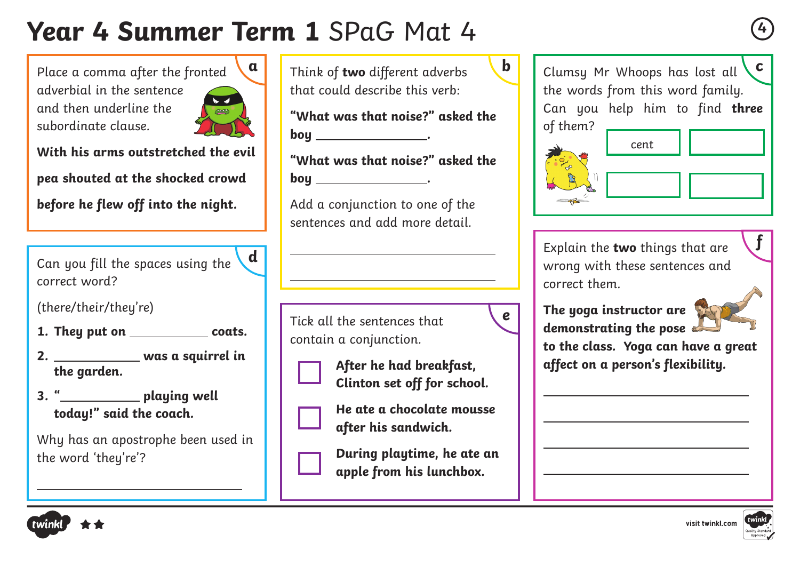# **Year 4 Summer Term 1** SPaG Mat 4 **<sup>4</sup>**

 $\overline{a}$ 

 $\overline{a}$ 

Place a comma after the fronted adverbial in the sentence and then underline the subordinate clause.



**With his arms outstretched the evil pea shouted at the shocked crowd**

**before he flew off into the night.**

Can you fill the spaces using the correct word? **d**

(there/their/they're)

 $\overline{a}$ 

- **1.** They put on \_\_\_\_\_\_\_\_\_\_\_\_\_\_ coats.
- **2. was a squirrel in the garden.**
- **3. " playing well today!" said the coach.**

Why has an apostrophe been used in the word 'they're'?





**f**

**c**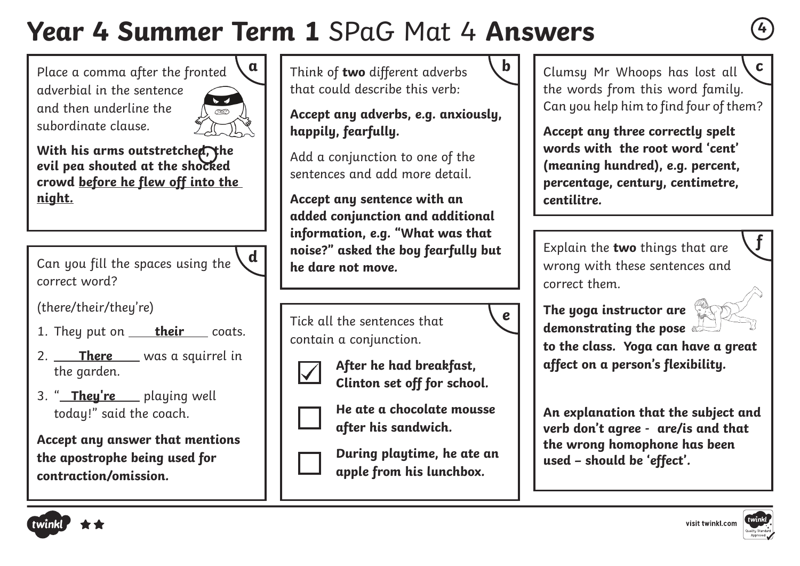# **Year 4 Summer Term 1** SPaG Mat 4 **Answers <sup>4</sup>**

Place a comma after the fronted adverbial in the sentence and then underline the subordinate clause.



**With his arms outstretched, the evil pea shouted at the shocked crowd before he flew off into the night.**

Can you fill the spaces using the correct word? **d**

(there/their/they're)

- 1. They put on **their** coats.
- 2. **There** was a squirrel in the garden.
- 3. " **They're** playing well today!" said the coach.

**Accept any answer that mentions the apostrophe being used for contraction/omission.**



**Accept any adverbs, e.g. anxiously, happily, fearfully.**

Add a conjunction to one of the sentences and add more detail.

**Accept any sentence with an added conjunction and additional information, e.g. "What was that noise?" asked the boy fearfully but he dare not move.** 

Tick all the sentences that contain a conjunction.



**After he had breakfast, Clinton set off for school.**



**He ate a chocolate mousse after his sandwich.**

**During playtime, he ate an apple from his lunchbox.**



**e**

Clumsy Mr Whoops has lost all the words from this word family. Can you help him to find four of them? Think of **two** different adverbs  $\begin{bmatrix} \mathbf{b} \\ \mathbf{c} \end{bmatrix}$  Clumsu Mr Whoops has lost all  $\begin{bmatrix} \mathbf{c} \\ \mathbf{c} \end{bmatrix}$ 

> **Accept any three correctly spelt words with the root word 'cent' (meaning hundred), e.g. percent, percentage, century, centimetre, centilitre.**

Explain the **two** things that are wrong with these sentences and correct them.





**f**

**to the class. Yoga can have a great affect on a person's flexibility.**

**An explanation that the subject and verb don't agree - are/is and that the wrong homophone has been used – should be 'effect'.**



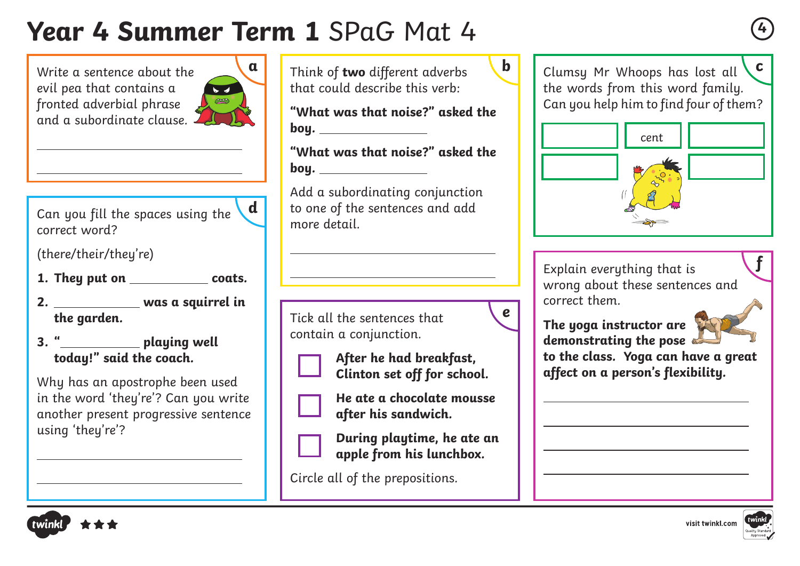#### **Year 4 Summer Term 1** SPaG Mat 4 **<sup>4</sup>**

**b a c** Clumsy Mr Whoops has lost all Write a sentence about the Think of **two** different adverbs evil pea that contains a that could describe this verb: the words from this word family.  $\overline{a}$ **COOP** fronted adverbial phrase Can you help him to find four of them? **"What was that noise?" asked the**  and a subordinate clause. **boy.**  cent**"What was that noise?" asked the boy.**  Add a subordinating conjunction to one of the sentences and add **d** Can you fill the spaces using the more detail.  $\overline{a}$ (there/their/they're) **f** Explain everything that is  $\overline{a}$ **1.** They put on \_\_\_\_\_\_\_\_\_\_\_\_\_\_ coats. wrong about these sentences and **2. was a squirrel in**  correct them. **e** Tick all the sentences that **The yoga instructor are**  contain a conjunction. **demonstrating the pose 3. " playing well to the class. Yoga can have a great today!" said the coach. After he had breakfast, affect on a person's flexibility. Clinton set off for school.** Why has an apostrophe been used **He ate a chocolate mousse**  in the word 'they're'? Can you write another present progressive sentence **after his sandwich. During playtime, he ate an apple from his lunchbox.**  Circle all of the prepositions.



 $\overline{a}$ 

 $\overline{a}$ 

using 'they're'?

 $\overline{a}$ 

 $\overline{a}$ 

correct word?

**the garden.**